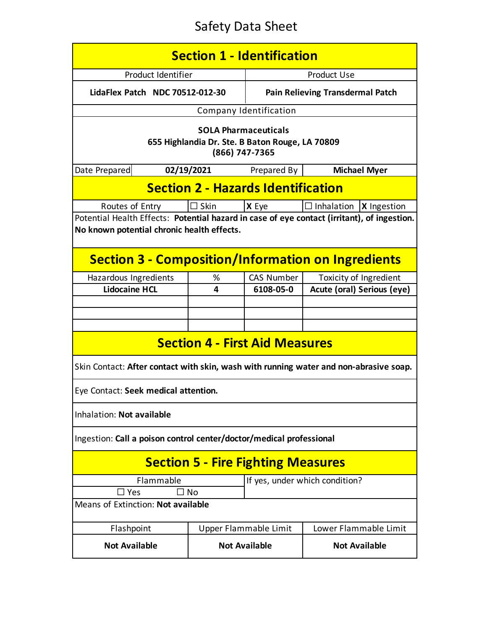| <b>Section 1 - Identification</b>                                                                                                         |                           |                                                |                                         |  |  |  |
|-------------------------------------------------------------------------------------------------------------------------------------------|---------------------------|------------------------------------------------|-----------------------------------------|--|--|--|
| Product Identifier                                                                                                                        |                           | <b>Product Use</b>                             |                                         |  |  |  |
| LidaFlex Patch NDC 70512-012-30                                                                                                           |                           | Pain Relieving Transdermal Patch               |                                         |  |  |  |
|                                                                                                                                           |                           | Company Identification                         |                                         |  |  |  |
| <b>SOLA Pharmaceuticals</b><br>655 Highlandia Dr. Ste. B Baton Rouge, LA 70809<br>(866) 747-7365                                          |                           |                                                |                                         |  |  |  |
| Date Prepared                                                                                                                             | 02/19/2021<br>Prepared By |                                                | <b>Michael Myer</b>                     |  |  |  |
| <b>Section 2 - Hazards Identification</b>                                                                                                 |                           |                                                |                                         |  |  |  |
| Routes of Entry                                                                                                                           | $\Box$ Skin               | X Eye                                          | $\Box$ Inhalation<br><b>X</b> Ingestion |  |  |  |
| Potential Health Effects: Potential hazard in case of eye contact (irritant), of ingestion.<br>No known potential chronic health effects. |                           |                                                |                                         |  |  |  |
| <b>Section 3 - Composition/Information on Ingredients</b>                                                                                 |                           |                                                |                                         |  |  |  |
| Hazardous Ingredients                                                                                                                     | ℅                         | CAS Number                                     | Toxicity of Ingredient                  |  |  |  |
| <b>Lidocaine HCL</b>                                                                                                                      | 4                         | 6108-05-0                                      | Acute (oral) Serious (eye)              |  |  |  |
|                                                                                                                                           |                           |                                                |                                         |  |  |  |
|                                                                                                                                           |                           |                                                |                                         |  |  |  |
|                                                                                                                                           |                           |                                                |                                         |  |  |  |
| <b>Section 4 - First Aid Measures</b>                                                                                                     |                           |                                                |                                         |  |  |  |
| Skin Contact: After contact with skin, wash with running water and non-abrasive soap.                                                     |                           |                                                |                                         |  |  |  |
| Eye Contact: Seek medical attention.                                                                                                      |                           |                                                |                                         |  |  |  |
| Inhalation: Not available                                                                                                                 |                           |                                                |                                         |  |  |  |
| Ingestion: Call a poison control center/doctor/medical professional                                                                       |                           |                                                |                                         |  |  |  |
| <b>Section 5 - Fire Fighting Measures</b>                                                                                                 |                           |                                                |                                         |  |  |  |
| If yes, under which condition?<br>Flammable                                                                                               |                           |                                                |                                         |  |  |  |
| □ Yes<br>. I No                                                                                                                           |                           |                                                |                                         |  |  |  |
| Means of Extinction: Not available                                                                                                        |                           |                                                |                                         |  |  |  |
| Flashpoint                                                                                                                                |                           | Lower Flammable Limit<br>Upper Flammable Limit |                                         |  |  |  |
| <b>Not Available</b>                                                                                                                      |                           | <b>Not Available</b><br><b>Not Available</b>   |                                         |  |  |  |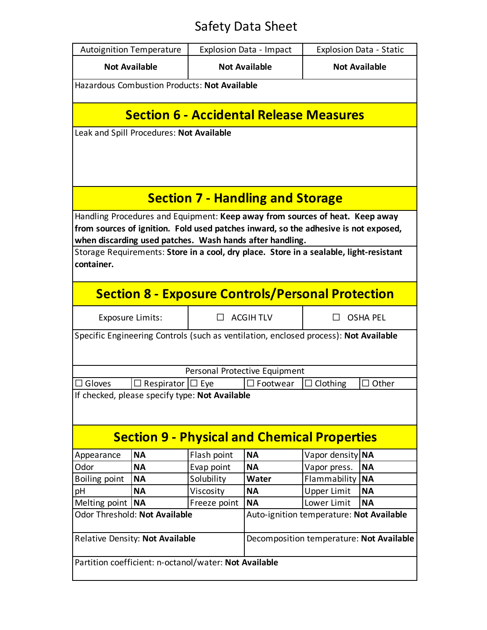|                                                                                                                                                                                                                                 | <b>Autoignition Temperature</b>                                           |                                                    | <b>Explosion Data - Impact</b> |                     | Explosion Data - Static |  |  |
|---------------------------------------------------------------------------------------------------------------------------------------------------------------------------------------------------------------------------------|---------------------------------------------------------------------------|----------------------------------------------------|--------------------------------|---------------------|-------------------------|--|--|
| <b>Not Available</b>                                                                                                                                                                                                            |                                                                           |                                                    | <b>Not Available</b>           |                     | <b>Not Available</b>    |  |  |
| Hazardous Combustion Products: Not Available                                                                                                                                                                                    |                                                                           |                                                    |                                |                     |                         |  |  |
| <b>Section 6 - Accidental Release Measures</b>                                                                                                                                                                                  |                                                                           |                                                    |                                |                     |                         |  |  |
| Leak and Spill Procedures: Not Available                                                                                                                                                                                        |                                                                           |                                                    |                                |                     |                         |  |  |
| <b>Section 7 - Handling and Storage</b>                                                                                                                                                                                         |                                                                           |                                                    |                                |                     |                         |  |  |
| Handling Procedures and Equipment: Keep away from sources of heat. Keep away<br>from sources of ignition. Fold used patches inward, so the adhesive is not exposed,<br>when discarding used patches. Wash hands after handling. |                                                                           |                                                    |                                |                     |                         |  |  |
| Storage Requirements: Store in a cool, dry place. Store in a sealable, light-resistant<br>container.                                                                                                                            |                                                                           |                                                    |                                |                     |                         |  |  |
| <b>Section 8 - Exposure Controls/Personal Protection</b>                                                                                                                                                                        |                                                                           |                                                    |                                |                     |                         |  |  |
| Exposure Limits:                                                                                                                                                                                                                |                                                                           |                                                    | <b>ACGIHTLV</b>                | <b>OSHA PEL</b>     |                         |  |  |
| Specific Engineering Controls (such as ventilation, enclosed process): Not Available                                                                                                                                            |                                                                           |                                                    |                                |                     |                         |  |  |
|                                                                                                                                                                                                                                 |                                                                           |                                                    | Personal Protective Equipment  |                     |                         |  |  |
| Gloves                                                                                                                                                                                                                          | $\Box$ Respirator                                                         | $\Box$ Footwear<br>Clothing<br>Other<br>$\Box$ Eye |                                |                     |                         |  |  |
| If checked, please specify type: Not Available<br><b>Section 9 - Physical and Chemical Properties</b>                                                                                                                           |                                                                           |                                                    |                                |                     |                         |  |  |
| Appearance                                                                                                                                                                                                                      | <b>NA</b>                                                                 | Flash point                                        | <b>NA</b>                      | Vapor density       | <b>NA</b>               |  |  |
| Odor                                                                                                                                                                                                                            | <b>NA</b>                                                                 | Evap point                                         | <b>NA</b>                      | Vapor press.        | <b>NA</b>               |  |  |
| Boiling point                                                                                                                                                                                                                   | <b>NA</b>                                                                 | Solubility                                         | <b>Water</b>                   | <b>Flammability</b> | <b>NA</b>               |  |  |
| pH                                                                                                                                                                                                                              | <b>NA</b>                                                                 | Viscosity                                          | <b>NA</b>                      | Upper Limit         | <b>NA</b>               |  |  |
| Melting point                                                                                                                                                                                                                   | <b>NA</b>                                                                 | Freeze point                                       | <b>NA</b>                      | Lower Limit         | <b>NA</b>               |  |  |
|                                                                                                                                                                                                                                 | Odor Threshold: Not Available<br>Auto-ignition temperature: Not Available |                                                    |                                |                     |                         |  |  |
| Relative Density: Not Available                                                                                                                                                                                                 |                                                                           | Decomposition temperature: Not Available           |                                |                     |                         |  |  |
| Partition coefficient: n-octanol/water: Not Available                                                                                                                                                                           |                                                                           |                                                    |                                |                     |                         |  |  |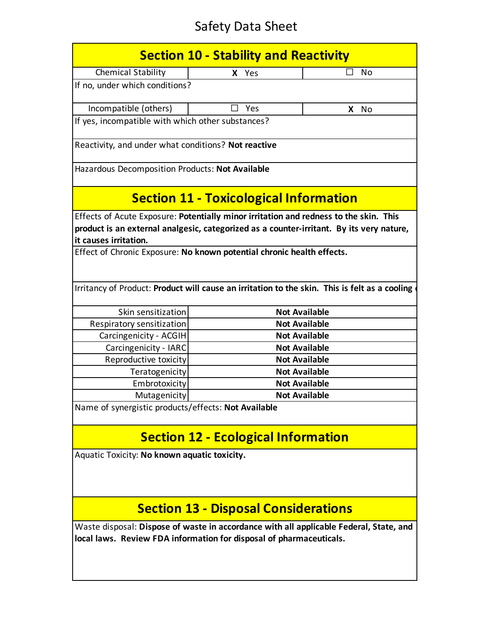| <b>Section 10 - Stability and Reactivity</b>                                                  |                                               |                      |  |  |  |  |
|-----------------------------------------------------------------------------------------------|-----------------------------------------------|----------------------|--|--|--|--|
| <b>Chemical Stability</b>                                                                     | X Yes                                         | No                   |  |  |  |  |
| If no, under which conditions?                                                                |                                               |                      |  |  |  |  |
| Incompatible (others)                                                                         | Yes                                           | X<br>No              |  |  |  |  |
| If yes, incompatible with which other substances?                                             |                                               |                      |  |  |  |  |
| Reactivity, and under what conditions? Not reactive                                           |                                               |                      |  |  |  |  |
| Hazardous Decomposition Products: Not Available                                               |                                               |                      |  |  |  |  |
|                                                                                               | <b>Section 11 - Toxicological Information</b> |                      |  |  |  |  |
| Effects of Acute Exposure: Potentially minor irritation and redness to the skin. This         |                                               |                      |  |  |  |  |
| product is an external analgesic, categorized as a counter-irritant. By its very nature,      |                                               |                      |  |  |  |  |
| it causes irritation.                                                                         |                                               |                      |  |  |  |  |
| Effect of Chronic Exposure: No known potential chronic health effects.                        |                                               |                      |  |  |  |  |
|                                                                                               |                                               |                      |  |  |  |  |
| Irritancy of Product: Product will cause an irritation to the skin. This is felt as a cooling |                                               |                      |  |  |  |  |
| Skin sensitization                                                                            |                                               | <b>Not Available</b> |  |  |  |  |
| Respiratory sensitization                                                                     | <b>Not Available</b>                          |                      |  |  |  |  |
| Carcingenicity - ACGIH                                                                        |                                               | <b>Not Available</b> |  |  |  |  |
| Carcingenicity - IARC                                                                         |                                               | <b>Not Available</b> |  |  |  |  |
| Reproductive toxicity                                                                         |                                               | <b>Not Available</b> |  |  |  |  |
| Teratogenicity                                                                                |                                               | <b>Not Available</b> |  |  |  |  |
| Embrotoxicity                                                                                 |                                               | <b>Not Available</b> |  |  |  |  |
| Mutagenicity                                                                                  |                                               | <b>Not Available</b> |  |  |  |  |
| Name of synergistic products/effects: Not Available                                           |                                               |                      |  |  |  |  |
|                                                                                               | <b>Section 12 - Ecological Information</b>    |                      |  |  |  |  |
|                                                                                               |                                               |                      |  |  |  |  |
| Aquatic Toxicity: No known aquatic toxicity.                                                  |                                               |                      |  |  |  |  |
|                                                                                               |                                               |                      |  |  |  |  |
|                                                                                               |                                               |                      |  |  |  |  |
|                                                                                               |                                               |                      |  |  |  |  |
| <b>Section 13 - Disposal Considerations</b>                                                   |                                               |                      |  |  |  |  |
| Waste disposal: Dispose of waste in accordance with all applicable Federal, State, and        |                                               |                      |  |  |  |  |
| local laws. Review FDA information for disposal of pharmaceuticals.                           |                                               |                      |  |  |  |  |
|                                                                                               |                                               |                      |  |  |  |  |